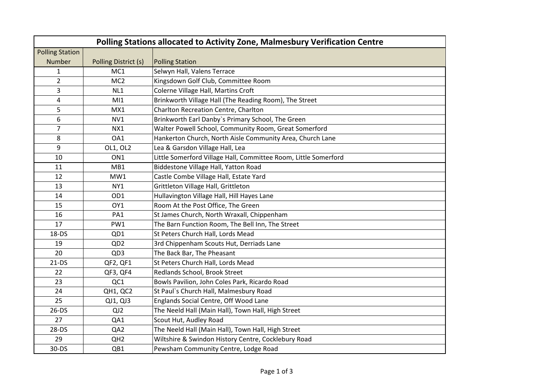| Polling Stations allocated to Activity Zone, Malmesbury Verification Centre |                      |                                                                 |  |  |  |
|-----------------------------------------------------------------------------|----------------------|-----------------------------------------------------------------|--|--|--|
| <b>Polling Station</b>                                                      |                      |                                                                 |  |  |  |
| Number                                                                      | Polling District (s) | <b>Polling Station</b>                                          |  |  |  |
| $\mathbf{1}$                                                                | MC <sub>1</sub>      | Selwyn Hall, Valens Terrace                                     |  |  |  |
| $\overline{2}$                                                              | MC <sub>2</sub>      | Kingsdown Golf Club, Committee Room                             |  |  |  |
| 3                                                                           | NL1                  | Colerne Village Hall, Martins Croft                             |  |  |  |
| 4                                                                           | M11                  | Brinkworth Village Hall (The Reading Room), The Street          |  |  |  |
| 5                                                                           | MX1                  | Charlton Recreation Centre, Charlton                            |  |  |  |
| 6                                                                           | NVI                  | Brinkworth Earl Danby's Primary School, The Green               |  |  |  |
| 7                                                                           | NX1                  | Walter Powell School, Community Room, Great Somerford           |  |  |  |
| 8                                                                           | OA1                  | Hankerton Church, North Aisle Community Area, Church Lane       |  |  |  |
| 9                                                                           | OL1, OL2             | Lea & Garsdon Village Hall, Lea                                 |  |  |  |
| 10                                                                          | ON <sub>1</sub>      | Little Somerford Village Hall, Committee Room, Little Somerford |  |  |  |
| 11                                                                          | MB1                  | Biddestone Village Hall, Yatton Road                            |  |  |  |
| 12                                                                          | MW1                  | Castle Combe Village Hall, Estate Yard                          |  |  |  |
| 13                                                                          | NY1                  | Grittleton Village Hall, Grittleton                             |  |  |  |
| 14                                                                          | OD1                  | Hullavington Village Hall, Hill Hayes Lane                      |  |  |  |
| 15                                                                          | OY1                  | Room At the Post Office, The Green                              |  |  |  |
| 16                                                                          | PA1                  | St James Church, North Wraxall, Chippenham                      |  |  |  |
| 17                                                                          | PW1                  | The Barn Function Room, The Bell Inn, The Street                |  |  |  |
| 18-DS                                                                       | QD1                  | St Peters Church Hall, Lords Mead                               |  |  |  |
| 19                                                                          | QD <sub>2</sub>      | 3rd Chippenham Scouts Hut, Derriads Lane                        |  |  |  |
| 20                                                                          | QD3                  | The Back Bar, The Pheasant                                      |  |  |  |
| $21-DS$                                                                     | QF2, QF1             | St Peters Church Hall, Lords Mead                               |  |  |  |
| 22                                                                          | QF3, QF4             | Redlands School, Brook Street                                   |  |  |  |
| 23                                                                          | QC1                  | Bowls Pavilion, John Coles Park, Ricardo Road                   |  |  |  |
| 24                                                                          | QH1, QC2             | St Paul's Church Hall, Malmesbury Road                          |  |  |  |
| 25                                                                          | QJ1, QJ3             | Englands Social Centre, Off Wood Lane                           |  |  |  |
| $26-DS$                                                                     | QJ2                  | The Neeld Hall (Main Hall), Town Hall, High Street              |  |  |  |
| 27                                                                          | QA1                  | Scout Hut, Audley Road                                          |  |  |  |
| $28-DS$                                                                     | QA2                  | The Neeld Hall (Main Hall), Town Hall, High Street              |  |  |  |
| 29                                                                          | QH <sub>2</sub>      | Wiltshire & Swindon History Centre, Cocklebury Road             |  |  |  |
| 30-DS                                                                       | QB1                  | Pewsham Community Centre, Lodge Road                            |  |  |  |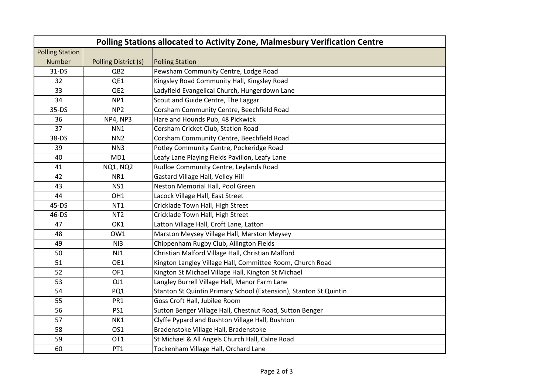| Polling Stations allocated to Activity Zone, Malmesbury Verification Centre |                      |                                                                   |  |  |
|-----------------------------------------------------------------------------|----------------------|-------------------------------------------------------------------|--|--|
| <b>Polling Station</b>                                                      |                      |                                                                   |  |  |
| Number                                                                      | Polling District (s) | <b>Polling Station</b>                                            |  |  |
| $31-DS$                                                                     | QB <sub>2</sub>      | Pewsham Community Centre, Lodge Road                              |  |  |
| 32                                                                          | QE1                  | Kingsley Road Community Hall, Kingsley Road                       |  |  |
| 33                                                                          | QE2                  | Ladyfield Evangelical Church, Hungerdown Lane                     |  |  |
| 34                                                                          | NP1                  | Scout and Guide Centre, The Laggar                                |  |  |
| $35-DS$                                                                     | NP <sub>2</sub>      | Corsham Community Centre, Beechfield Road                         |  |  |
| 36                                                                          | NP4, NP3             | Hare and Hounds Pub, 48 Pickwick                                  |  |  |
| 37                                                                          | NN1                  | Corsham Cricket Club, Station Road                                |  |  |
| 38-DS                                                                       | NN <sub>2</sub>      | Corsham Community Centre, Beechfield Road                         |  |  |
| 39                                                                          | NN3                  | Potley Community Centre, Pockeridge Road                          |  |  |
| 40                                                                          | MD1                  | Leafy Lane Playing Fields Pavilion, Leafy Lane                    |  |  |
| 41                                                                          | <b>NQ1, NQ2</b>      | Rudloe Community Centre, Leylands Road                            |  |  |
| 42                                                                          | NR1                  | Gastard Village Hall, Velley Hill                                 |  |  |
| 43                                                                          | NS1                  | Neston Memorial Hall, Pool Green                                  |  |  |
| 44                                                                          | OH <sub>1</sub>      | Lacock Village Hall, East Street                                  |  |  |
| $45-DS$                                                                     | NT <sub>1</sub>      | Cricklade Town Hall, High Street                                  |  |  |
| 46-DS                                                                       | NT <sub>2</sub>      | Cricklade Town Hall, High Street                                  |  |  |
| 47                                                                          | OK1                  | Latton Village Hall, Croft Lane, Latton                           |  |  |
| 48                                                                          | OW1                  | Marston Meysey Village Hall, Marston Meysey                       |  |  |
| 49                                                                          | N13                  | Chippenham Rugby Club, Allington Fields                           |  |  |
| 50                                                                          | NJ1                  | Christian Malford Village Hall, Christian Malford                 |  |  |
| 51                                                                          | OE1                  | Kington Langley Village Hall, Committee Room, Church Road         |  |  |
| 52                                                                          | OF <sub>1</sub>      | Kington St Michael Village Hall, Kington St Michael               |  |  |
| 53                                                                          | OJ1                  | Langley Burrell Village Hall, Manor Farm Lane                     |  |  |
| 54                                                                          | PQ1                  | Stanton St Quintin Primary School (Extension), Stanton St Quintin |  |  |
| 55                                                                          | PR1                  | Goss Croft Hall, Jubilee Room                                     |  |  |
| 56                                                                          | PS1                  | Sutton Benger Village Hall, Chestnut Road, Sutton Benger          |  |  |
| 57                                                                          | NK1                  | Clyffe Pypard and Bushton Village Hall, Bushton                   |  |  |
| 58                                                                          | OS <sub>1</sub>      | Bradenstoke Village Hall, Bradenstoke                             |  |  |
| 59                                                                          | OT <sub>1</sub>      | St Michael & All Angels Church Hall, Calne Road                   |  |  |
| 60                                                                          | PT <sub>1</sub>      | Tockenham Village Hall, Orchard Lane                              |  |  |